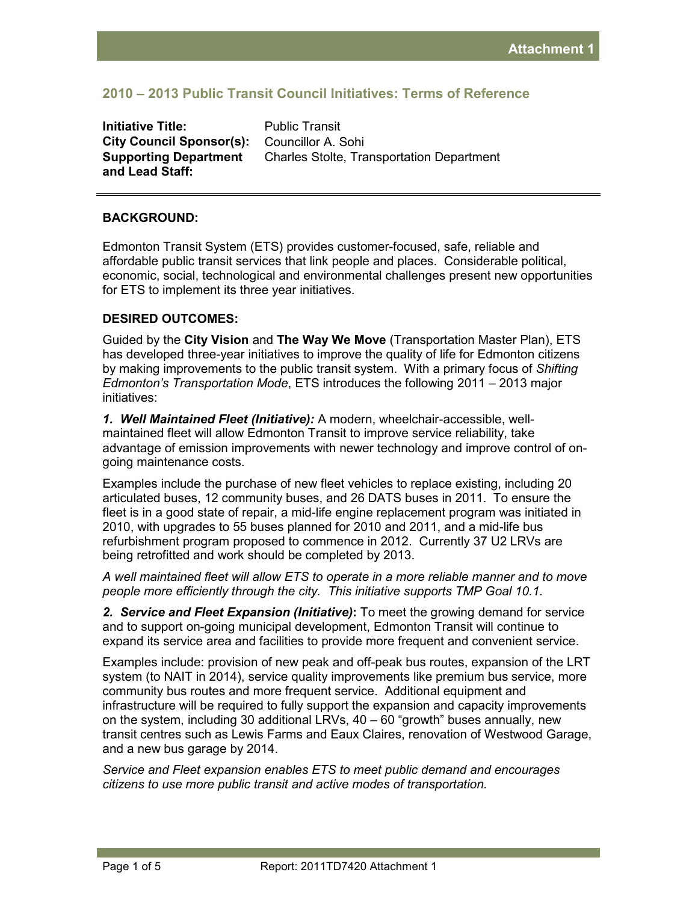# **2010 – 2013 Public Transit Council Initiatives: Terms of Reference**

**Initiative Title:** Public Transit **City Council Sponsor(s):** Councillor A. Sohi **Supporting Department and Lead Staff:** 

Charles Stolte, Transportation Department

### **BACKGROUND:**

Edmonton Transit System (ETS) provides customer-focused, safe, reliable and affordable public transit services that link people and places. Considerable political, economic, social, technological and environmental challenges present new opportunities for ETS to implement its three year initiatives.

#### **DESIRED OUTCOMES:**

Guided by the **City Vision** and **The Way We Move** (Transportation Master Plan), ETS has developed three-year initiatives to improve the quality of life for Edmonton citizens by making improvements to the public transit system. With a primary focus of *Shifting Edmonton's Transportation Mode*, ETS introduces the following 2011 – 2013 major initiatives:

*1. Well Maintained Fleet (Initiative):* A modern, wheelchair-accessible, wellmaintained fleet will allow Edmonton Transit to improve service reliability, take advantage of emission improvements with newer technology and improve control of ongoing maintenance costs.

Examples include the purchase of new fleet vehicles to replace existing, including 20 articulated buses, 12 community buses, and 26 DATS buses in 2011. To ensure the fleet is in a good state of repair, a mid-life engine replacement program was initiated in 2010, with upgrades to 55 buses planned for 2010 and 2011, and a mid-life bus refurbishment program proposed to commence in 2012. Currently 37 U2 LRVs are being retrofitted and work should be completed by 2013.

*A well maintained fleet will allow ETS to operate in a more reliable manner and to move people more efficiently through the city. This initiative supports TMP Goal 10.1.* 

*2. Service and Fleet Expansion (Initiative)***:** To meet the growing demand for service and to support on-going municipal development, Edmonton Transit will continue to expand its service area and facilities to provide more frequent and convenient service.

Examples include: provision of new peak and off-peak bus routes, expansion of the LRT system (to NAIT in 2014), service quality improvements like premium bus service, more community bus routes and more frequent service. Additional equipment and infrastructure will be required to fully support the expansion and capacity improvements on the system, including 30 additional LRVs, 40 – 60 "growth" buses annually, new transit centres such as Lewis Farms and Eaux Claires, renovation of Westwood Garage, and a new bus garage by 2014.

*Service and Fleet expansion enables ETS to meet public demand and encourages citizens to use more public transit and active modes of transportation.*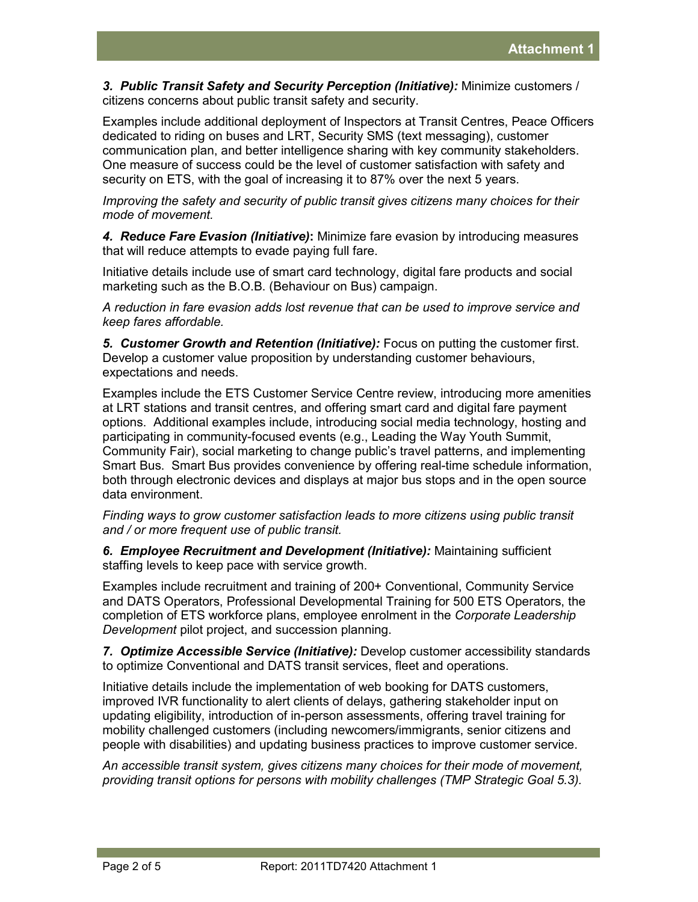*3. Public Transit Safety and Security Perception (Initiative):* Minimize customers / citizens concerns about public transit safety and security.

Examples include additional deployment of Inspectors at Transit Centres, Peace Officers dedicated to riding on buses and LRT, Security SMS (text messaging), customer communication plan, and better intelligence sharing with key community stakeholders. One measure of success could be the level of customer satisfaction with safety and security on ETS, with the goal of increasing it to 87% over the next 5 years.

*Improving the safety and security of public transit gives citizens many choices for their mode of movement.* 

*4. Reduce Fare Evasion (Initiative)***:** Minimize fare evasion by introducing measures that will reduce attempts to evade paying full fare.

Initiative details include use of smart card technology, digital fare products and social marketing such as the B.O.B. (Behaviour on Bus) campaign.

*A reduction in fare evasion adds lost revenue that can be used to improve service and keep fares affordable.*

*5. Customer Growth and Retention (Initiative):* Focus on putting the customer first. Develop a customer value proposition by understanding customer behaviours, expectations and needs.

Examples include the ETS Customer Service Centre review, introducing more amenities at LRT stations and transit centres, and offering smart card and digital fare payment options. Additional examples include, introducing social media technology, hosting and participating in community-focused events (e.g., Leading the Way Youth Summit, Community Fair), social marketing to change public's travel patterns, and implementing Smart Bus. Smart Bus provides convenience by offering real-time schedule information, both through electronic devices and displays at major bus stops and in the open source data environment.

*Finding ways to grow customer satisfaction leads to more citizens using public transit and / or more frequent use of public transit.* 

*6. Employee Recruitment and Development (Initiative):* Maintaining sufficient staffing levels to keep pace with service growth.

Examples include recruitment and training of 200+ Conventional, Community Service and DATS Operators, Professional Developmental Training for 500 ETS Operators, the completion of ETS workforce plans, employee enrolment in the *Corporate Leadership Development* pilot project, and succession planning.

*7. Optimize Accessible Service (Initiative):* Develop customer accessibility standards to optimize Conventional and DATS transit services, fleet and operations.

Initiative details include the implementation of web booking for DATS customers, improved IVR functionality to alert clients of delays, gathering stakeholder input on updating eligibility, introduction of in-person assessments, offering travel training for mobility challenged customers (including newcomers/immigrants, senior citizens and people with disabilities) and updating business practices to improve customer service.

*An accessible transit system, gives citizens many choices for their mode of movement, providing transit options for persons with mobility challenges (TMP Strategic Goal 5.3).*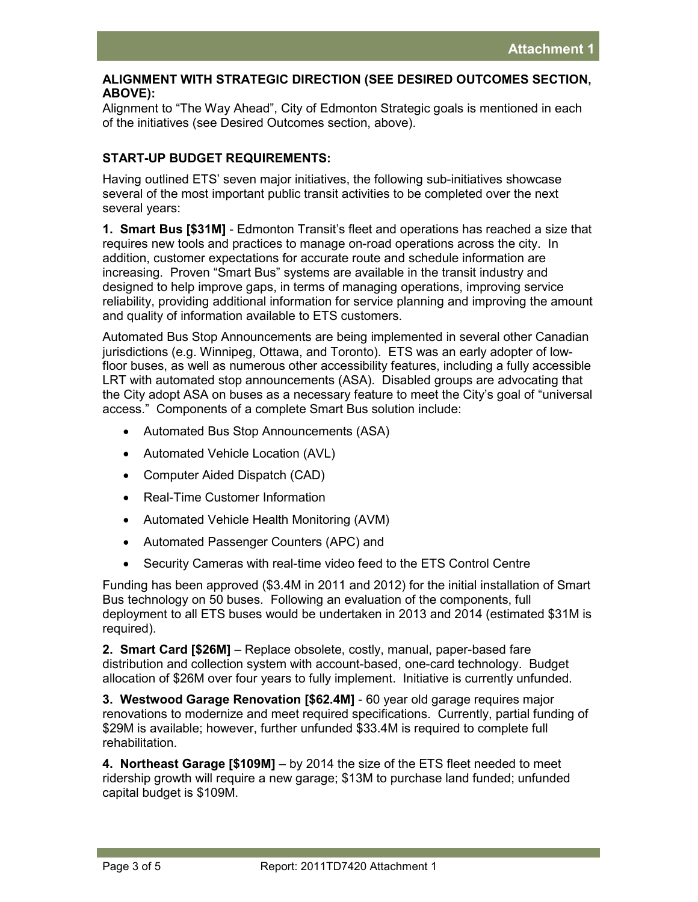### **ALIGNMENT WITH STRATEGIC DIRECTION (SEE DESIRED OUTCOMES SECTION, ABOVE):**

Alignment to "The Way Ahead", City of Edmonton Strategic goals is mentioned in each of the initiatives (see Desired Outcomes section, above).

## **START-UP BUDGET REQUIREMENTS:**

Having outlined ETS' seven major initiatives, the following sub-initiatives showcase several of the most important public transit activities to be completed over the next several years:

**1. Smart Bus [\$31M]** - Edmonton Transit's fleet and operations has reached a size that requires new tools and practices to manage on-road operations across the city. In addition, customer expectations for accurate route and schedule information are increasing. Proven "Smart Bus" systems are available in the transit industry and designed to help improve gaps, in terms of managing operations, improving service reliability, providing additional information for service planning and improving the amount and quality of information available to ETS customers.

Automated Bus Stop Announcements are being implemented in several other Canadian jurisdictions (e.g. Winnipeg, Ottawa, and Toronto). ETS was an early adopter of lowfloor buses, as well as numerous other accessibility features, including a fully accessible LRT with automated stop announcements (ASA). Disabled groups are advocating that the City adopt ASA on buses as a necessary feature to meet the City's goal of "universal access." Components of a complete Smart Bus solution include:

- Automated Bus Stop Announcements (ASA)
- Automated Vehicle Location (AVL)
- Computer Aided Dispatch (CAD)
- Real-Time Customer Information
- Automated Vehicle Health Monitoring (AVM)
- Automated Passenger Counters (APC) and
- Security Cameras with real-time video feed to the ETS Control Centre

Funding has been approved (\$3.4M in 2011 and 2012) for the initial installation of Smart Bus technology on 50 buses. Following an evaluation of the components, full deployment to all ETS buses would be undertaken in 2013 and 2014 (estimated \$31M is required).

**2. Smart Card [\$26M]** – Replace obsolete, costly, manual, paper-based fare distribution and collection system with account-based, one-card technology. Budget allocation of \$26M over four years to fully implement. Initiative is currently unfunded.

**3. Westwood Garage Renovation [\$62.4M]** - 60 year old garage requires major renovations to modernize and meet required specifications. Currently, partial funding of \$29M is available; however, further unfunded \$33.4M is required to complete full rehabilitation.

**4. Northeast Garage [\$109M]** – by 2014 the size of the ETS fleet needed to meet ridership growth will require a new garage; \$13M to purchase land funded; unfunded capital budget is \$109M.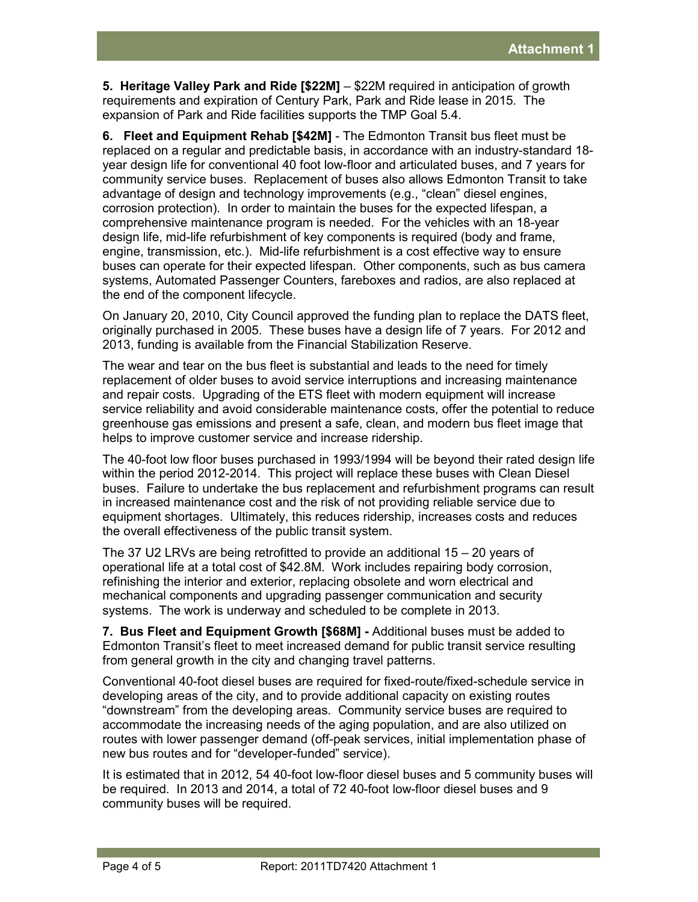**5. Heritage Valley Park and Ride [\$22M]** – \$22M required in anticipation of growth requirements and expiration of Century Park, Park and Ride lease in 2015. The expansion of Park and Ride facilities supports the TMP Goal 5.4.

**6. Fleet and Equipment Rehab [\$42M]** - The Edmonton Transit bus fleet must be replaced on a regular and predictable basis, in accordance with an industry-standard 18 year design life for conventional 40 foot low-floor and articulated buses, and 7 years for community service buses. Replacement of buses also allows Edmonton Transit to take advantage of design and technology improvements (e.g., "clean" diesel engines, corrosion protection). In order to maintain the buses for the expected lifespan, a comprehensive maintenance program is needed. For the vehicles with an 18-year design life, mid-life refurbishment of key components is required (body and frame, engine, transmission, etc.). Mid-life refurbishment is a cost effective way to ensure buses can operate for their expected lifespan. Other components, such as bus camera systems, Automated Passenger Counters, fareboxes and radios, are also replaced at the end of the component lifecycle.

On January 20, 2010, City Council approved the funding plan to replace the DATS fleet, originally purchased in 2005. These buses have a design life of 7 years. For 2012 and 2013, funding is available from the Financial Stabilization Reserve.

The wear and tear on the bus fleet is substantial and leads to the need for timely replacement of older buses to avoid service interruptions and increasing maintenance and repair costs. Upgrading of the ETS fleet with modern equipment will increase service reliability and avoid considerable maintenance costs, offer the potential to reduce greenhouse gas emissions and present a safe, clean, and modern bus fleet image that helps to improve customer service and increase ridership.

The 40-foot low floor buses purchased in 1993/1994 will be beyond their rated design life within the period 2012-2014. This project will replace these buses with Clean Diesel buses. Failure to undertake the bus replacement and refurbishment programs can result in increased maintenance cost and the risk of not providing reliable service due to equipment shortages. Ultimately, this reduces ridership, increases costs and reduces the overall effectiveness of the public transit system.

The 37 U2 LRVs are being retrofitted to provide an additional 15 – 20 years of operational life at a total cost of \$42.8M. Work includes repairing body corrosion, refinishing the interior and exterior, replacing obsolete and worn electrical and mechanical components and upgrading passenger communication and security systems. The work is underway and scheduled to be complete in 2013.

**7. Bus Fleet and Equipment Growth [\$68M] -** Additional buses must be added to Edmonton Transit's fleet to meet increased demand for public transit service resulting from general growth in the city and changing travel patterns.

Conventional 40-foot diesel buses are required for fixed-route/fixed-schedule service in developing areas of the city, and to provide additional capacity on existing routes "downstream" from the developing areas. Community service buses are required to accommodate the increasing needs of the aging population, and are also utilized on routes with lower passenger demand (off-peak services, initial implementation phase of new bus routes and for "developer-funded" service).

It is estimated that in 2012, 54 40-foot low-floor diesel buses and 5 community buses will be required. In 2013 and 2014, a total of 72 40-foot low-floor diesel buses and 9 community buses will be required.